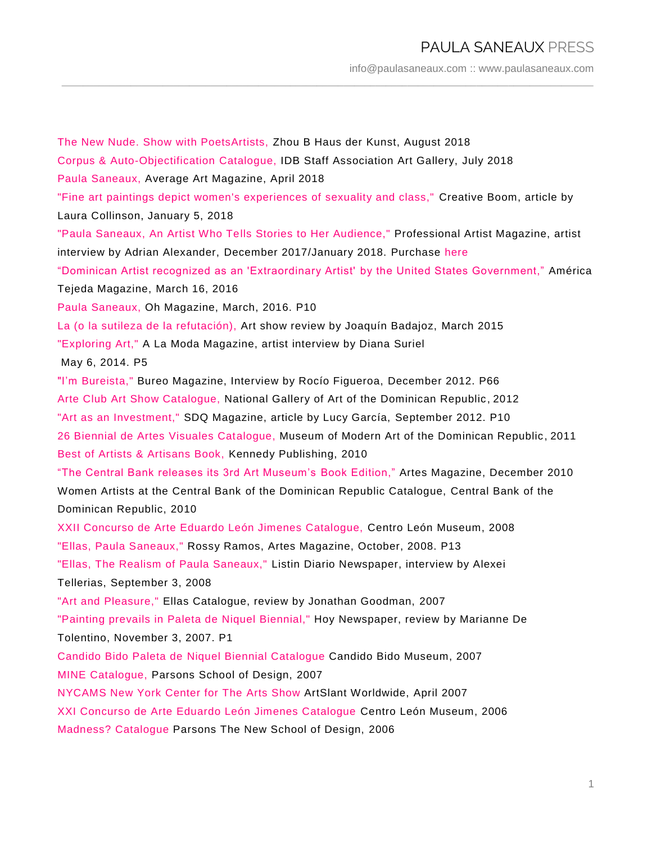## PAULA SANEAUX PRESS

[info@paulasaneaux.com](mailto:info@paulasaneaux.com) :: [www.paulasaneaux.com](http://www.paulasaneaux.com/)

The New Nude. Show with PoetsArtists, Zhou B Haus der Kunst, August 2018 Corpus & Auto-Objectification Catalogue, IDB Staff Association Art Gallery, July 2018 Paula Saneaux, Average Art Magazine, April 2018 "Fine art paintings depict women's experiences of sexuality and class," Creative Boom, article by Laura Collinson, January 5, 2018 "Paula Saneaux, An Artist Who Tells Stories to Her Audience," Professional Artist Magazine, artist interview by Adrian Alexander, December 2017/January 2018. Purchase here "Dominican Artist recognized as an 'Extraordinary Artist' by the United States Government," América Tejeda Magazine, March 16, 2016 Paula Saneaux, Oh Magazine, March, 2016. P10 La (o la sutileza de la refutación), Art show review by Joaquín Badajoz, March 2015 "Exploring Art," A La Moda Magazine, artist interview by Diana Suriel May 6, 2014. P5 "I'm Bureista," Bureo Magazine, Interview by Rocío Figueroa, December 2012. P66 Arte Club Art Show Catalogue, National Gallery of Art of the Dominican Republic , 2012 "Art as an Investment," SDQ Magazine, article by Lucy García, September 2012. P10 26 Biennial de Artes Visuales Catalogue, Museum of Modern Art of the Dominican Republic, 2011 Best of Artists & Artisans Book, Kennedy Publishing, 2010 "The Central Bank releases its 3rd Art Museum's Book Edition," Artes Magazine, December 2010 Women Artists at the Central Bank of the Dominican Republic Catalogue, Central Bank of the Dominican Republic, 2010 XXII Concurso de Arte Eduardo León Jimenes Catalogue, Centro León Museum, 2008 "Ellas, Paula Saneaux," Rossy Ramos, Artes Magazine, October, 2008. P13 "Ellas, The Realism of Paula Saneaux," Listin Diario Newspaper, interview by Alexei Tellerias, September 3, 2008 "Art and Pleasure," Ellas Catalogue, review by Jonathan Goodman, 2007 "Painting prevails in Paleta de Niquel Biennial," Hoy Newspaper, review by Marianne De Tolentino, November 3, 2007. P1 Candido Bido Paleta de Niquel Biennial Catalogue Candido Bido Museum, 2007 MINE Catalogue, Parsons School of Design, 2007 NYCAMS New York Center for The Arts Show ArtSlant Worldwide, April 2007 XXI Concurso de Arte Eduardo León Jimenes Catalogue Centro León Museum, 2006 Madness? Catalogue Parsons The New School of Design, 2006

\_\_\_\_\_\_\_\_\_\_\_\_\_\_\_\_\_\_\_\_\_\_\_\_\_\_\_\_\_\_\_\_\_\_\_\_\_\_\_\_\_\_\_\_\_\_\_\_\_\_\_\_\_\_\_\_\_\_\_\_\_\_\_\_\_\_\_\_\_\_\_\_\_\_\_\_\_\_\_\_\_\_\_\_\_\_\_\_\_\_\_\_\_\_\_\_\_\_\_\_